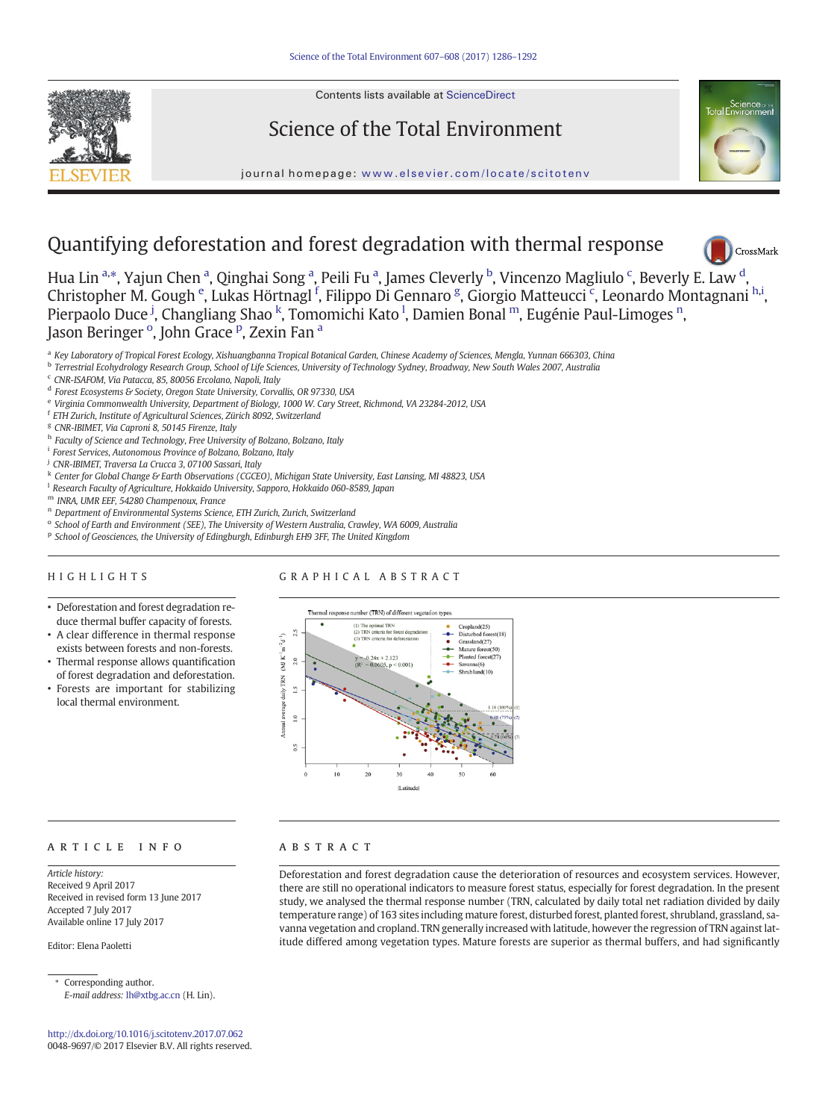Contents lists available at ScienceDirect









# Quantifying deforestation and forest degradation with thermal response



Hua Lin a,\*, Yajun Chen a, Qinghai Song a, Peili Fu a, James Cleverly <sup>b</sup>, Vincenzo Magliulo <sup>c</sup>, Beverly E. Law <sup>[d](http://crossmark.crossref.org/dialog/?doi=10.1016/j.scitotenv.2017.07.062&domain=pdf)</sup>, Christopher M. Gough <sup>e</sup>, Lukas Hörtnagl <sup>f</sup>, Filippo Di Gennaro <sup>g</sup>, Giorgio Matteucci <sup>c</sup>, Leonardo Montagnani <sup>h,i</sup>, Pierpaolo Duce <sup>j</sup>, Changliang Shao <sup>k</sup>, Tomomichi Kato <sup>l</sup>, Damien Bonal <sup>m</sup>, Eugénie Paul-Limoges <sup>n</sup>, Jason Beringer <sup>o</sup>, John Grace <sup>p</sup>, Zexin Fan <sup>a</sup>

- a Key Laboratory of Tropical Forest Ecology, Xishuangbanna Tropical Botanical Garden, Chinese Academy of Sciences, Mengla, Yunnan 666303, China
- <sup>b</sup> Terrestrial Ecohydrology Research Group, School of Life Sciences, University of Technology Sydney, Broadway, New South Wales 2007, Australia
- <sup>c</sup> CNR-ISAFOM, Via Patacca, 85, 80056 Ercolano, Napoli, Italy
- <sup>d</sup> Forest Ecosystems & Society, Oregon State University, Corvallis, OR 97330, USA
- <sup>e</sup> Virginia Commonwealth University, Department of Biology, 1000 W. Cary Street, Richmond, VA 23284-2012, USA
- <sup>f</sup> ETH Zurich, Institute of Agricultural Sciences, Zürich 8092, Switzerland
- <sup>g</sup> CNR-IBIMET, Via Caproni 8, 50145 Firenze, Italy
- h Faculty of Science and Technology, Free University of Bolzano, Bolzano, Italy
- <sup>i</sup> Forest Services, Autonomous Province of Bolzano, Bolzano, Italy
- <sup>j</sup> CNR-IBIMET, Traversa La Crucca 3, 07100 Sassari, Italy
- K Center for Global Change & Earth Observations (CGCEO), Michigan State University, East Lansing, MI 48823, USA
- <sup>1</sup> Research Faculty of Agriculture, Hokkaido University, Sapporo, Hokkaido 060-8589, Japan
- <sup>m</sup> INRA, UMR EEF, 54280 Champenoux, France
- <sup>n</sup> Department of Environmental Systems Science, ETH Zurich, Zurich, Switzerland
- <sup>o</sup> School of Earth and Environment (SEE), The University of Western Australia, Crawley, WA 6009, Australia
- <sup>p</sup> School of Geosciences, the University of Edingburgh, Edinburgh EH9 3FF, The United Kingdom

#### HIGHLIGHTS

#### GRAPHICAL ABSTRACT

- Deforestation and forest degradation reduce thermal buffer capacity of forests.
- A clear difference in thermal response exists between forests and non-forests.
- Thermal response allows quantification of forest degradation and deforestation.
- Forests are important for stabilizing local thermal environment.



#### article info abstract

Article history: Received 9 April 2017 Received in revised form 13 June 2017 Accepted 7 July 2017 Available online 17 July 2017

Editor: Elena Paoletti

⁎ Corresponding author. E-mail address: [lh@xtbg.ac.cn](mailto:lh@xtbg.ac.cn) (H. Lin).

<http://dx.doi.org/10.1016/j.scitotenv.2017.07.062> 0048-9697/© 2017 Elsevier B.V. All rights reserved.

Deforestation and forest degradation cause the deterioration of resources and ecosystem services. However, there are still no operational indicators to measure forest status, especially for forest degradation. In the present study, we analysed the thermal response number (TRN, calculated by daily total net radiation divided by daily temperature range) of 163 sites including mature forest, disturbed forest, planted forest, shrubland, grassland, savanna vegetation and cropland. TRN generally increased with latitude, however the regression of TRN against latitude differed among vegetation types. Mature forests are superior as thermal buffers, and had significantly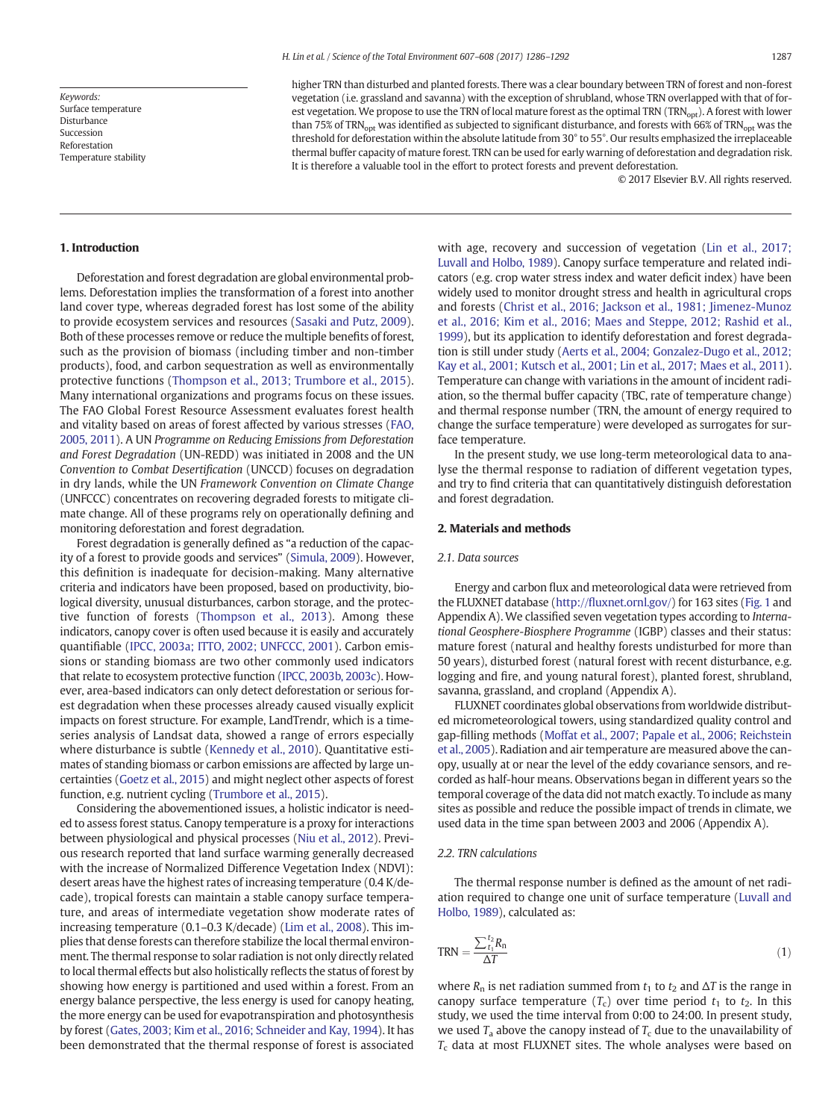Keywords: Surface temperature Disturbance Succession Reforestation Temperature stability higher TRN than disturbed and planted forests. There was a clear boundary between TRN of forest and non-forest vegetation (i.e. grassland and savanna) with the exception of shrubland, whose TRN overlapped with that of forest vegetation. We propose to use the TRN of local mature forest as the optimal TRN (TRN<sub>opt</sub>). A forest with lower than 75% of TRN<sub>opt</sub> was identified as subjected to significant disturbance, and forests with 66% of TRN<sub>opt</sub> was the threshold for deforestation within the absolute latitude from 30° to 55°. Our results emphasized the irreplaceable thermal buffer capacity of mature forest. TRN can be used for early warning of deforestation and degradation risk. It is therefore a valuable tool in the effort to protect forests and prevent deforestation.

© 2017 Elsevier B.V. All rights reserved.

#### 1. Introduction

Deforestation and forest degradation are global environmental problems. Deforestation implies the transformation of a forest into another land cover type, whereas degraded forest has lost some of the ability to provide ecosystem services and resources ([Sasaki and Putz, 2009](#page-6-0)). Both of these processes remove or reduce the multiple benefits of forest, such as the provision of biomass (including timber and non-timber products), food, and carbon sequestration as well as environmentally protective functions [\(Thompson et al., 2013; Trumbore et al., 2015](#page-6-0)). Many international organizations and programs focus on these issues. The FAO Global Forest Resource Assessment evaluates forest health and vitality based on areas of forest affected by various stresses [\(FAO,](#page-6-0) [2005, 2011\)](#page-6-0). A UN Programme on Reducing Emissions from Deforestation and Forest Degradation (UN-REDD) was initiated in 2008 and the UN Convention to Combat Desertification (UNCCD) focuses on degradation in dry lands, while the UN Framework Convention on Climate Change (UNFCCC) concentrates on recovering degraded forests to mitigate climate change. All of these programs rely on operationally defining and monitoring deforestation and forest degradation.

Forest degradation is generally defined as "a reduction of the capacity of a forest to provide goods and services" [\(Simula, 2009](#page-6-0)). However, this definition is inadequate for decision-making. Many alternative criteria and indicators have been proposed, based on productivity, biological diversity, unusual disturbances, carbon storage, and the protective function of forests ([Thompson et al., 2013](#page-6-0)). Among these indicators, canopy cover is often used because it is easily and accurately quantifiable [\(IPCC, 2003a; ITTO, 2002; UNFCCC, 2001\)](#page-6-0). Carbon emissions or standing biomass are two other commonly used indicators that relate to ecosystem protective function [\(IPCC, 2003b, 2003c\)](#page-6-0). However, area-based indicators can only detect deforestation or serious forest degradation when these processes already caused visually explicit impacts on forest structure. For example, LandTrendr, which is a timeseries analysis of Landsat data, showed a range of errors especially where disturbance is subtle ([Kennedy et al., 2010\)](#page-6-0). Quantitative estimates of standing biomass or carbon emissions are affected by large uncertainties ([Goetz et al., 2015](#page-6-0)) and might neglect other aspects of forest function, e.g. nutrient cycling [\(Trumbore et al., 2015](#page-6-0)).

Considering the abovementioned issues, a holistic indicator is needed to assess forest status. Canopy temperature is a proxy for interactions between physiological and physical processes [\(Niu et al., 2012\)](#page-6-0). Previous research reported that land surface warming generally decreased with the increase of Normalized Difference Vegetation Index (NDVI): desert areas have the highest rates of increasing temperature (0.4 K/decade), tropical forests can maintain a stable canopy surface temperature, and areas of intermediate vegetation show moderate rates of increasing temperature (0.1–0.3 K/decade) [\(Lim et al., 2008\)](#page-6-0). This implies that dense forests can therefore stabilize the local thermal environment. The thermal response to solar radiation is not only directly related to local thermal effects but also holistically reflects the status of forest by showing how energy is partitioned and used within a forest. From an energy balance perspective, the less energy is used for canopy heating, the more energy can be used for evapotranspiration and photosynthesis by forest [\(Gates, 2003; Kim et al., 2016; Schneider and Kay, 1994\)](#page-6-0). It has been demonstrated that the thermal response of forest is associated with age, recovery and succession of vegetation [\(Lin et al., 2017;](#page-6-0) [Luvall and Holbo, 1989](#page-6-0)). Canopy surface temperature and related indicators (e.g. crop water stress index and water deficit index) have been widely used to monitor drought stress and health in agricultural crops and forests [\(Christ et al., 2016; Jackson et al., 1981; Jimenez-Munoz](#page-6-0) [et al., 2016; Kim et al., 2016; Maes and Steppe, 2012; Rashid et al.,](#page-6-0) [1999](#page-6-0)), but its application to identify deforestation and forest degradation is still under study ([Aerts et al., 2004; Gonzalez-Dugo et al., 2012;](#page-6-0) [Kay et al., 2001; Kutsch et al., 2001; Lin et al., 2017; Maes et al., 2011](#page-6-0)). Temperature can change with variations in the amount of incident radiation, so the thermal buffer capacity (TBC, rate of temperature change) and thermal response number (TRN, the amount of energy required to change the surface temperature) were developed as surrogates for surface temperature.

In the present study, we use long-term meteorological data to analyse the thermal response to radiation of different vegetation types, and try to find criteria that can quantitatively distinguish deforestation and forest degradation.

#### 2. Materials and methods

#### 2.1. Data sources

Energy and carbon flux and meteorological data were retrieved from the FLUXNET database (http://fl[uxnet.ornl.gov/](http://fluxnet.ornl.gov/)) for 163 sites [\(Fig. 1](#page-2-0) and Appendix A). We classified seven vegetation types according to International Geosphere-Biosphere Programme (IGBP) classes and their status: mature forest (natural and healthy forests undisturbed for more than 50 years), disturbed forest (natural forest with recent disturbance, e.g. logging and fire, and young natural forest), planted forest, shrubland, savanna, grassland, and cropland (Appendix A).

FLUXNET coordinates global observations from worldwide distributed micrometeorological towers, using standardized quality control and gap-filling methods [\(Moffat et al., 2007; Papale et al., 2006; Reichstein](#page-6-0) [et al., 2005\)](#page-6-0). Radiation and air temperature are measured above the canopy, usually at or near the level of the eddy covariance sensors, and recorded as half-hour means. Observations began in different years so the temporal coverage of the data did not match exactly. To include as many sites as possible and reduce the possible impact of trends in climate, we used data in the time span between 2003 and 2006 (Appendix A).

#### 2.2. TRN calculations

The thermal response number is defined as the amount of net radiation required to change one unit of surface temperature [\(Luvall and](#page-6-0) [Holbo, 1989](#page-6-0)), calculated as:

$$
TRN = \frac{\sum_{t_1}^{t_2} R_n}{\Delta T}
$$
 (1)

where  $R_n$  is net radiation summed from  $t_1$  to  $t_2$  and  $\Delta T$  is the range in canopy surface temperature  $(T_c)$  over time period  $t_1$  to  $t_2$ . In this study, we used the time interval from 0:00 to 24:00. In present study, we used  $T_a$  above the canopy instead of  $T_c$  due to the unavailability of  $T_c$  data at most FLUXNET sites. The whole analyses were based on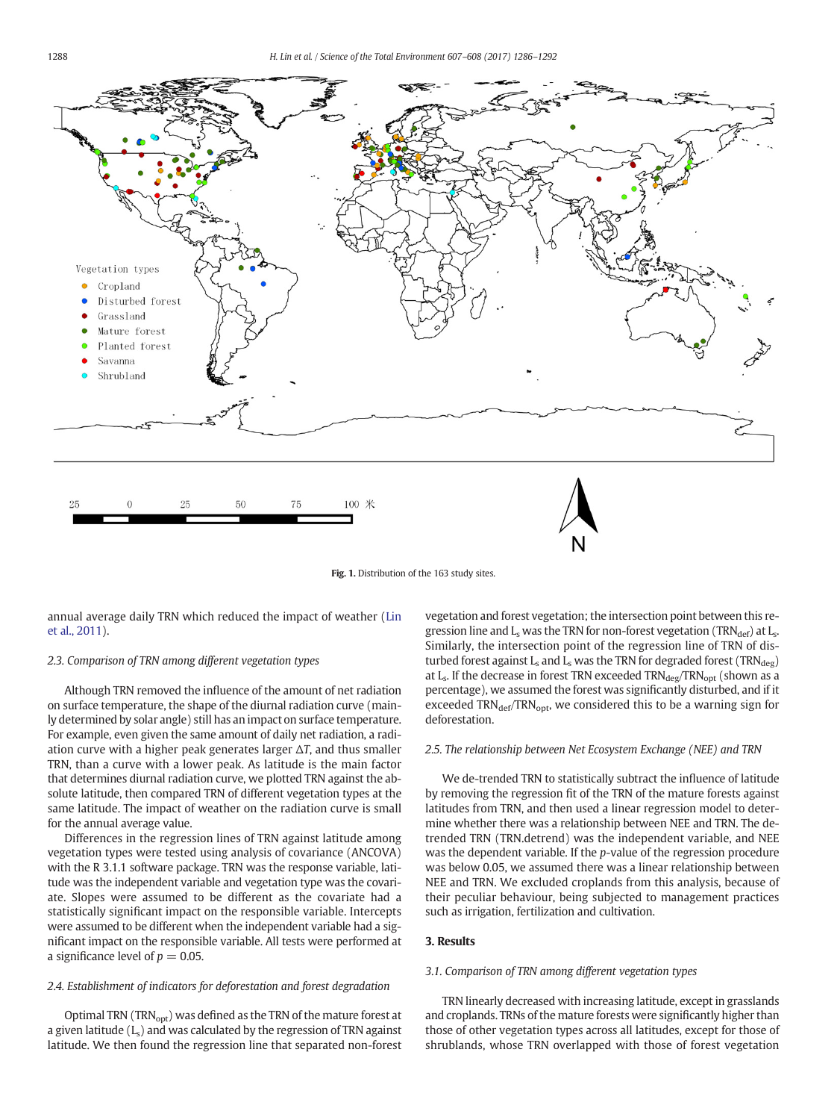<span id="page-2-0"></span>

Fig. 1. Distribution of the 163 study sites.

annual average daily TRN which reduced the impact of weather ([Lin](#page-6-0) [et al., 2011](#page-6-0)).

#### 2.3. Comparison of TRN among different vegetation types

Although TRN removed the influence of the amount of net radiation on surface temperature, the shape of the diurnal radiation curve (mainly determined by solar angle) still has an impact on surface temperature. For example, even given the same amount of daily net radiation, a radiation curve with a higher peak generates larger  $\Delta T$ , and thus smaller TRN, than a curve with a lower peak. As latitude is the main factor that determines diurnal radiation curve, we plotted TRN against the absolute latitude, then compared TRN of different vegetation types at the same latitude. The impact of weather on the radiation curve is small for the annual average value.

Differences in the regression lines of TRN against latitude among vegetation types were tested using analysis of covariance (ANCOVA) with the R 3.1.1 software package. TRN was the response variable, latitude was the independent variable and vegetation type was the covariate. Slopes were assumed to be different as the covariate had a statistically significant impact on the responsible variable. Intercepts were assumed to be different when the independent variable had a significant impact on the responsible variable. All tests were performed at a significance level of  $p = 0.05$ .

### 2.4. Establishment of indicators for deforestation and forest degradation

Optimal TRN (TRN<sub>opt</sub>) was defined as the TRN of the mature forest at a given latitude  $(L_s)$  and was calculated by the regression of TRN against latitude. We then found the regression line that separated non-forest

vegetation and forest vegetation; the intersection point between this regression line and  $L_s$  was the TRN for non-forest vegetation (TRN $_{def}$ ) at  $L_s$ . Similarly, the intersection point of the regression line of TRN of disturbed forest against  $L_s$  and  $L_s$  was the TRN for degraded forest (TRN $_{\text{deg}}$ ) at  $L_s$ . If the decrease in forest TRN exceeded TRN $_{\text{deg}}$ /TRN $_{\text{opt}}$  (shown as a percentage), we assumed the forest was significantly disturbed, and if it exceeded TRN<sub>def</sub>/TRN<sub>opt</sub>, we considered this to be a warning sign for deforestation.

#### 2.5. The relationship between Net Ecosystem Exchange (NEE) and TRN

We de-trended TRN to statistically subtract the influence of latitude by removing the regression fit of the TRN of the mature forests against latitudes from TRN, and then used a linear regression model to determine whether there was a relationship between NEE and TRN. The detrended TRN (TRN.detrend) was the independent variable, and NEE was the dependent variable. If the p-value of the regression procedure was below 0.05, we assumed there was a linear relationship between NEE and TRN. We excluded croplands from this analysis, because of their peculiar behaviour, being subjected to management practices such as irrigation, fertilization and cultivation.

## 3. Results

#### 3.1. Comparison of TRN among different vegetation types

TRN linearly decreased with increasing latitude, except in grasslands and croplands. TRNs of the mature forests were significantly higher than those of other vegetation types across all latitudes, except for those of shrublands, whose TRN overlapped with those of forest vegetation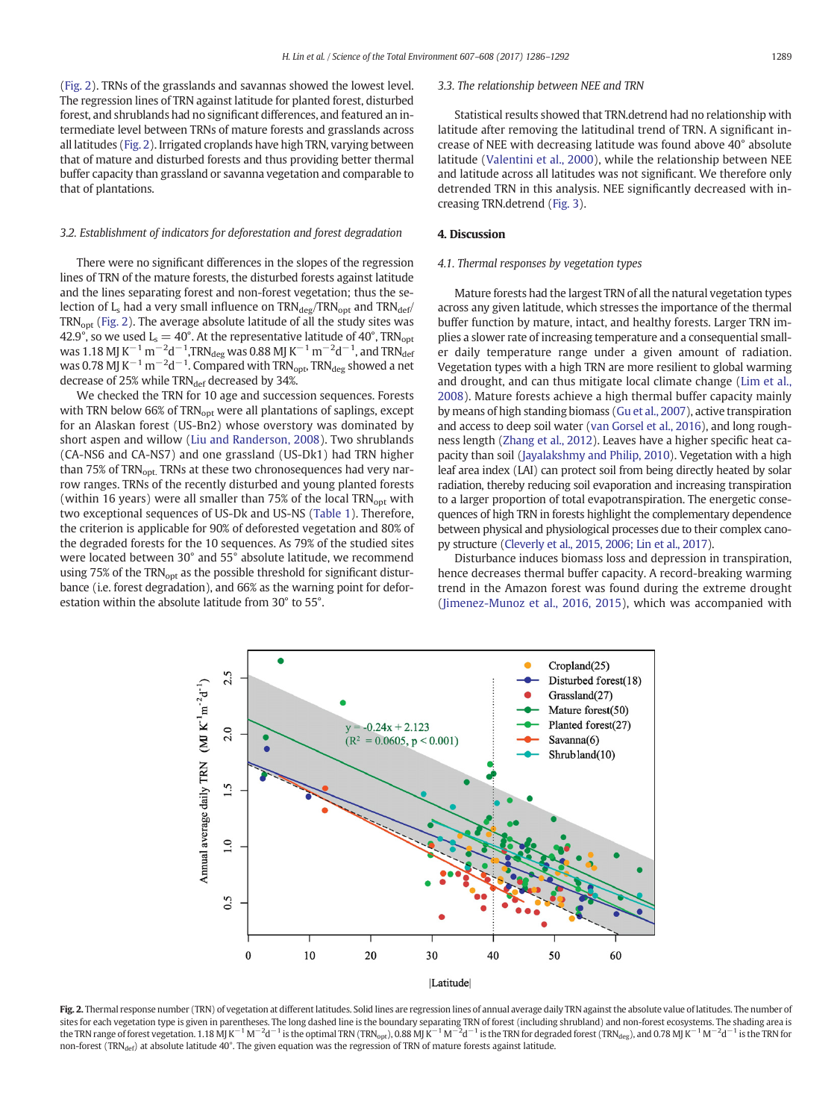<span id="page-3-0"></span>(Fig. 2). TRNs of the grasslands and savannas showed the lowest level. The regression lines of TRN against latitude for planted forest, disturbed forest, and shrublands had no significant differences, and featured an intermediate level between TRNs of mature forests and grasslands across all latitudes (Fig. 2). Irrigated croplands have high TRN, varying between that of mature and disturbed forests and thus providing better thermal buffer capacity than grassland or savanna vegetation and comparable to that of plantations.

#### 3.2. Establishment of indicators for deforestation and forest degradation

There were no significant differences in the slopes of the regression lines of TRN of the mature forests, the disturbed forests against latitude and the lines separating forest and non-forest vegetation; thus the selection of  $L_s$  had a very small influence on  $TRN_{deg}/TRN_{opt}$  and  $TRN_{def}/T_{exp}$ TRN<sub>opt</sub> (Fig. 2). The average absolute latitude of all the study sites was 42.9°, so we used L $_{\rm s}$   $=$  40°. At the representative latitude of 40°, TRN $_{\rm opt}$ was 1.18 MJ K $^{-1}$  m $^{-2}$ d $^{-1}$ ,TRN $_{\rm deg}$  was 0.88 MJ K $^{-1}$  m $^{-2}$ d $^{-1}$ , and TRN $_{\rm def}$ was 0.78 MJ K $^{-1}$  m $^{-2}$ d $^{-1}$ . Compared with TRN<sub>opt</sub>, TRN<sub>deg</sub> showed a net decrease of 25% while TRNdef decreased by 34%.

We checked the TRN for 10 age and succession sequences. Forests with TRN below 66% of TRN<sub>opt</sub> were all plantations of saplings, except for an Alaskan forest (US-Bn2) whose overstory was dominated by short aspen and willow [\(Liu and Randerson, 2008\)](#page-6-0). Two shrublands (CA-NS6 and CA-NS7) and one grassland (US-Dk1) had TRN higher than 75% of TRN<sub>opt.</sub> TRNs at these two chronosequences had very narrow ranges. TRNs of the recently disturbed and young planted forests (within 16 years) were all smaller than  $75\%$  of the local TRN<sub>opt</sub> with two exceptional sequences of US-Dk and US-NS ([Table 1\)](#page-4-0). Therefore, the criterion is applicable for 90% of deforested vegetation and 80% of the degraded forests for the 10 sequences. As 79% of the studied sites were located between 30° and 55° absolute latitude, we recommend using 75% of the TRN<sub>opt</sub> as the possible threshold for significant disturbance (i.e. forest degradation), and 66% as the warning point for deforestation within the absolute latitude from 30° to 55°.

### 3.3. The relationship between NEE and TRN

Statistical results showed that TRN.detrend had no relationship with latitude after removing the latitudinal trend of TRN. A significant increase of NEE with decreasing latitude was found above 40° absolute latitude ([Valentini et al., 2000](#page-6-0)), while the relationship between NEE and latitude across all latitudes was not significant. We therefore only detrended TRN in this analysis. NEE significantly decreased with increasing TRN.detrend [\(Fig. 3\)](#page-5-0).

#### 4. Discussion

#### 4.1. Thermal responses by vegetation types

Mature forests had the largest TRN of all the natural vegetation types across any given latitude, which stresses the importance of the thermal buffer function by mature, intact, and healthy forests. Larger TRN implies a slower rate of increasing temperature and a consequential smaller daily temperature range under a given amount of radiation. Vegetation types with a high TRN are more resilient to global warming and drought, and can thus mitigate local climate change ([Lim et al.,](#page-6-0) [2008\)](#page-6-0). Mature forests achieve a high thermal buffer capacity mainly by means of high standing biomass [\(Gu et al., 2007](#page-6-0)), active transpiration and access to deep soil water [\(van Gorsel et al., 2016](#page-6-0)), and long roughness length ([Zhang et al., 2012](#page-6-0)). Leaves have a higher specific heat capacity than soil [\(Jayalakshmy and Philip, 2010\)](#page-6-0). Vegetation with a high leaf area index (LAI) can protect soil from being directly heated by solar radiation, thereby reducing soil evaporation and increasing transpiration to a larger proportion of total evapotranspiration. The energetic consequences of high TRN in forests highlight the complementary dependence between physical and physiological processes due to their complex canopy structure [\(Cleverly et al., 2015, 2006; Lin et al., 2017\)](#page-6-0).

Disturbance induces biomass loss and depression in transpiration, hence decreases thermal buffer capacity. A record-breaking warming trend in the Amazon forest was found during the extreme drought [\(Jimenez-Munoz et al., 2016, 2015\)](#page-6-0), which was accompanied with



Fig. 2. Thermal response number (TRN) of vegetation at different latitudes. Solid lines are regression lines of annual average daily TRN against the absolute value of latitudes. The number of sites for each vegetation type is given in parentheses. The long dashed line is the boundary separating TRN of forest (including shrubland) and non-forest ecosystems. The shading area is the TRN range of forest vegetation. 1.18 MJ K $^{-1}$  M $^{-2}$ d $^{-1}$  is the optimal TRN (TRN<sub>opt</sub>), 0.88 MJ K $^{-1}$  M $^{-2}$ d $^{-1}$  is the TRN for degraded forest (TRN<sub>deg</sub>), and 0.78 MJ K $^{-1}$  M $^{-2}$ d $^{-1}$  is the TRN for non-forest ( $TRN_{\text{def}}$ ) at absolute latitude 40°. The given equation was the regression of TRN of mature forests against latitude.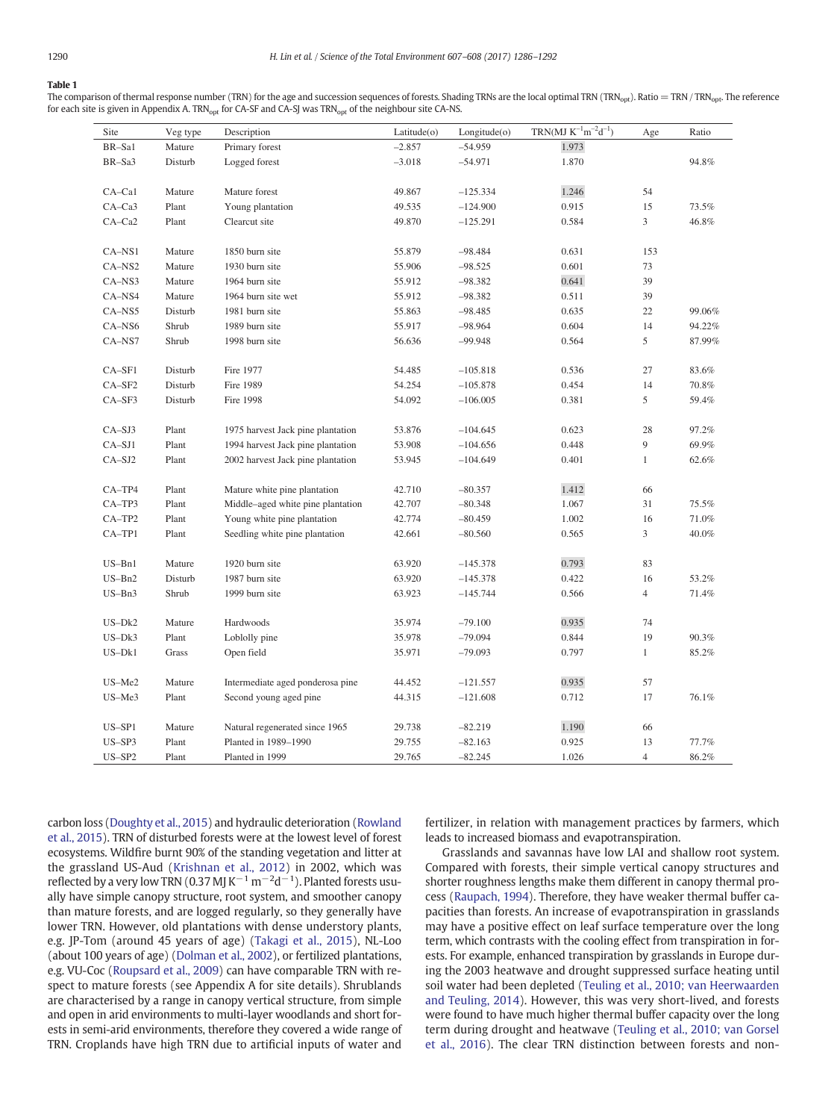#### <span id="page-4-0"></span>Table 1

 $\overline{a}$ 

The comparison of thermal response number (TRN) for the age and succession sequences of forests. Shading TRNs are the local optimal TRN (TRN<sub>opt</sub>). Ratio = TRN / TRN<sub>opt</sub>. The reference for each site is given in Appendix A. TRN<sub>opt</sub> for CA-SF and CA-SJ was TRN<sub>opt</sub> of the neighbour site CA-NS.

| Site       | Veg type | Description                       | Latitude(o) | Longitude(o) | $TRN(MJ K^{-1}m^{-2}d^{-1})$ | Age            | Ratio  |
|------------|----------|-----------------------------------|-------------|--------------|------------------------------|----------------|--------|
| BR-Sal     | Mature   | Primary forest                    | $-2.857$    | $-54.959$    | 1.973                        |                |        |
| BR-Sa3     | Disturb  | Logged forest                     | $-3.018$    | $-54.971$    | 1.870                        |                | 94.8%  |
|            |          |                                   |             |              |                              |                |        |
| $CA-Ca1$   | Mature   | Mature forest                     | 49.867      | $-125.334$   | 1.246                        | 54             |        |
| $CA-Ca3$   | Plant    | Young plantation                  | 49.535      | $-124.900$   | 0.915                        | 15             | 73.5%  |
| $CA-Ca2$   | Plant    | Clearcut site                     | 49.870      | $-125.291$   | 0.584                        | 3              | 46.8%  |
|            |          |                                   |             |              |                              |                |        |
| $CA-NS1$   | Mature   | 1850 burn site                    | 55.879      | $-98.484$    | 0.631                        | 153            |        |
| CA-NS2     | Mature   | 1930 burn site                    | 55.906      | $-98.525$    | 0.601                        | 73             |        |
| $CA-NS3$   | Mature   | 1964 burn site                    | 55.912      | $-98.382$    | 0.641                        | 39             |        |
| CA-NS4     | Mature   | 1964 burn site wet                | 55.912      | $-98.382$    | 0.511                        | 39             |        |
| CA-NS5     | Disturb  | 1981 burn site                    | 55.863      | $-98.485$    | 0.635                        | 22             | 99.06% |
| CA-NS6     | Shrub    | 1989 burn site                    | 55.917      | $-98.964$    | 0.604                        | 14             | 94.22% |
| CA-NS7     | Shrub    | 1998 burn site                    | 56.636      | -99.948      | 0.564                        | 5              | 87.99% |
|            |          |                                   |             |              |                              |                |        |
| CA-SF1     | Disturb  | Fire 1977                         | 54.485      | $-105.818$   | 0.536                        | 27             | 83.6%  |
| $CA-SF2$   | Disturb  | Fire 1989                         | 54.254      | $-105.878$   | 0.454                        | 14             | 70.8%  |
| $CA-SF3$   | Disturb  | Fire 1998                         | 54.092      | $-106.005$   | 0.381                        | 5              | 59.4%  |
|            |          |                                   |             |              |                              |                |        |
| $CA-SJ3$   | Plant    | 1975 harvest Jack pine plantation | 53.876      | $-104.645$   | 0.623                        | 28             | 97.2%  |
| $CA-SJ1$   | Plant    | 1994 harvest Jack pine plantation | 53.908      | $-104.656$   | 0.448                        | 9              | 69.9%  |
| $CA-SJ2$   | Plant    | 2002 harvest Jack pine plantation | 53.945      | $-104.649$   | 0.401                        | $\mathbf{1}$   | 62.6%  |
|            |          |                                   |             |              |                              |                |        |
| CA-TP4     | Plant    | Mature white pine plantation      | 42.710      | $-80.357$    | 1.412                        | 66             |        |
| $CA-TP3$   | Plant    | Middle-aged white pine plantation | 42.707      | $-80.348$    | 1.067                        | 31             | 75.5%  |
| $CA-TP2$   | Plant    | Young white pine plantation       | 42.774      | $-80.459$    | 1.002                        | 16             | 71.0%  |
| CA-TP1     | Plant    | Seedling white pine plantation    | 42.661      | $-80.560$    | 0.565                        | 3              | 40.0%  |
|            |          |                                   |             |              |                              |                |        |
| $US - Bn1$ | Mature   | 1920 burn site                    | 63.920      | $-145.378$   | 0.793                        | 83             |        |
| $US - Bn2$ | Disturb  | 1987 burn site                    | 63.920      | $-145.378$   | 0.422                        | 16             | 53.2%  |
| $US-Bn3$   | Shrub    | 1999 burn site                    | 63.923      | $-145.744$   | 0.566                        | $\overline{4}$ | 71.4%  |
|            |          |                                   |             |              |                              |                |        |
| $US-Dk2$   | Mature   | Hardwoods                         | 35.974      | $-79.100$    | 0.935                        | 74             |        |
| $US-Dk3$   | Plant    | Loblolly pine                     | 35.978      | $-79.094$    | 0.844                        | 19             | 90.3%  |
| $US-Dk1$   | Grass    | Open field                        | 35.971      | $-79.093$    | 0.797                        | $\mathbf{1}$   | 85.2%  |
|            |          |                                   |             |              |                              |                |        |
| US-Me2     | Mature   | Intermediate aged ponderosa pine  | 44.452      | $-121.557$   | 0.935                        | 57             |        |
| US-Me3     | Plant    | Second young aged pine            | 44.315      | $-121.608$   | 0.712                        | 17             | 76.1%  |
|            |          |                                   |             |              |                              |                |        |
| US-SP1     | Mature   | Natural regenerated since 1965    | 29.738      | $-82.219$    | 1.190                        | 66             |        |
| $US-SP3$   | Plant    | Planted in 1989-1990              | 29.755      | $-82.163$    | 0.925                        | 13             | 77.7%  |
| $US-SP2$   | Plant    | Planted in 1999                   | 29.765      | $-82.245$    | 1.026                        | $\overline{4}$ | 86.2%  |

carbon loss ([Doughty et al., 2015](#page-6-0)) and hydraulic deterioration [\(Rowland](#page-6-0) [et al., 2015\)](#page-6-0). TRN of disturbed forests were at the lowest level of forest ecosystems. Wildfire burnt 90% of the standing vegetation and litter at the grassland US-Aud ([Krishnan et al., 2012](#page-6-0)) in 2002, which was reflected by a very low TRN (0.37 MJ K $^{-1}$  m $^{-2}$ d $^{-1}$ ). Planted forests usually have simple canopy structure, root system, and smoother canopy than mature forests, and are logged regularly, so they generally have lower TRN. However, old plantations with dense understory plants, e.g. JP-Tom (around 45 years of age) ([Takagi et al., 2015](#page-6-0)), NL-Loo (about 100 years of age) [\(Dolman et al., 2002](#page-6-0)), or fertilized plantations, e.g. VU-Coc [\(Roupsard et al., 2009](#page-6-0)) can have comparable TRN with respect to mature forests (see Appendix A for site details). Shrublands are characterised by a range in canopy vertical structure, from simple and open in arid environments to multi-layer woodlands and short forests in semi-arid environments, therefore they covered a wide range of TRN. Croplands have high TRN due to artificial inputs of water and

fertilizer, in relation with management practices by farmers, which leads to increased biomass and evapotranspiration.

Grasslands and savannas have low LAI and shallow root system. Compared with forests, their simple vertical canopy structures and shorter roughness lengths make them different in canopy thermal process [\(Raupach, 1994\)](#page-6-0). Therefore, they have weaker thermal buffer capacities than forests. An increase of evapotranspiration in grasslands may have a positive effect on leaf surface temperature over the long term, which contrasts with the cooling effect from transpiration in forests. For example, enhanced transpiration by grasslands in Europe during the 2003 heatwave and drought suppressed surface heating until soil water had been depleted ([Teuling et al., 2010; van Heerwaarden](#page-6-0) [and Teuling, 2014](#page-6-0)). However, this was very short-lived, and forests were found to have much higher thermal buffer capacity over the long term during drought and heatwave [\(Teuling et al., 2010; van Gorsel](#page-6-0) [et al., 2016\)](#page-6-0). The clear TRN distinction between forests and non-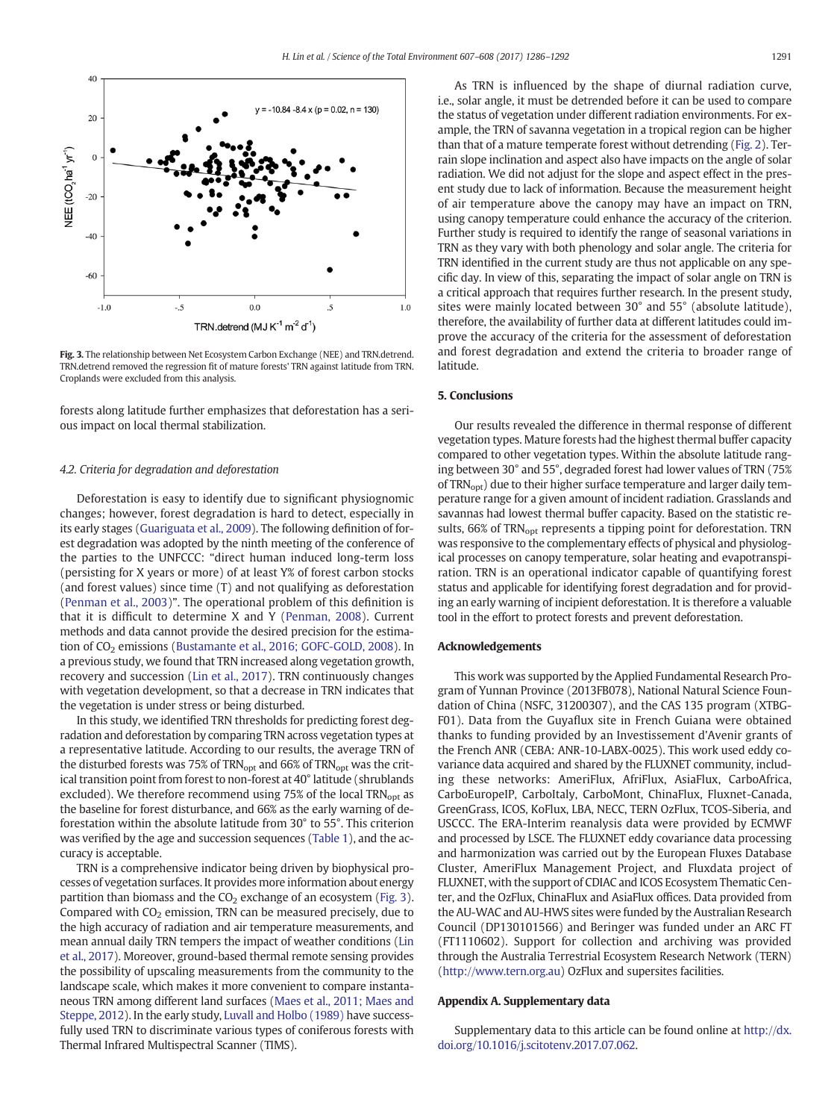<span id="page-5-0"></span>

Fig. 3. The relationship between Net Ecosystem Carbon Exchange (NEE) and TRN.detrend. TRN.detrend removed the regression fit of mature forests' TRN against latitude from TRN. Croplands were excluded from this analysis.

forests along latitude further emphasizes that deforestation has a serious impact on local thermal stabilization.

#### 4.2. Criteria for degradation and deforestation

Deforestation is easy to identify due to significant physiognomic changes; however, forest degradation is hard to detect, especially in its early stages [\(Guariguata et al., 2009](#page-6-0)). The following definition of forest degradation was adopted by the ninth meeting of the conference of the parties to the UNFCCC: "direct human induced long-term loss (persisting for X years or more) of at least Y% of forest carbon stocks (and forest values) since time (T) and not qualifying as deforestation [\(Penman et al., 2003\)](#page-6-0)". The operational problem of this definition is that it is difficult to determine X and Y ([Penman, 2008](#page-6-0)). Current methods and data cannot provide the desired precision for the estima-tion of CO<sub>2</sub> emissions ([Bustamante et al., 2016; GOFC-GOLD, 2008\)](#page-6-0). In a previous study, we found that TRN increased along vegetation growth, recovery and succession ([Lin et al., 2017\)](#page-6-0). TRN continuously changes with vegetation development, so that a decrease in TRN indicates that the vegetation is under stress or being disturbed.

In this study, we identified TRN thresholds for predicting forest degradation and deforestation by comparing TRN across vegetation types at a representative latitude. According to our results, the average TRN of the disturbed forests was 75% of  $TRN<sub>opt</sub>$  and 66% of  $TRN<sub>opt</sub>$  was the critical transition point from forest to non-forest at 40° latitude (shrublands excluded). We therefore recommend using 75% of the local  $TRN<sub>opt</sub>$  as the baseline for forest disturbance, and 66% as the early warning of deforestation within the absolute latitude from 30° to 55°. This criterion was verified by the age and succession sequences ([Table 1](#page-4-0)), and the accuracy is acceptable.

TRN is a comprehensive indicator being driven by biophysical processes of vegetation surfaces. It provides more information about energy partition than biomass and the  $CO<sub>2</sub>$  exchange of an ecosystem (Fig. 3). Compared with  $CO<sub>2</sub>$  emission, TRN can be measured precisely, due to the high accuracy of radiation and air temperature measurements, and mean annual daily TRN tempers the impact of weather conditions ([Lin](#page-6-0) [et al., 2017\)](#page-6-0). Moreover, ground-based thermal remote sensing provides the possibility of upscaling measurements from the community to the landscape scale, which makes it more convenient to compare instantaneous TRN among different land surfaces ([Maes et al., 2011; Maes and](#page-6-0) [Steppe, 2012\)](#page-6-0). In the early study, [Luvall and Holbo \(1989\)](#page-6-0) have successfully used TRN to discriminate various types of coniferous forests with Thermal Infrared Multispectral Scanner (TIMS).

As TRN is influenced by the shape of diurnal radiation curve, i.e., solar angle, it must be detrended before it can be used to compare the status of vegetation under different radiation environments. For example, the TRN of savanna vegetation in a tropical region can be higher than that of a mature temperate forest without detrending ([Fig. 2\)](#page-3-0). Terrain slope inclination and aspect also have impacts on the angle of solar radiation. We did not adjust for the slope and aspect effect in the present study due to lack of information. Because the measurement height of air temperature above the canopy may have an impact on TRN, using canopy temperature could enhance the accuracy of the criterion. Further study is required to identify the range of seasonal variations in TRN as they vary with both phenology and solar angle. The criteria for TRN identified in the current study are thus not applicable on any specific day. In view of this, separating the impact of solar angle on TRN is a critical approach that requires further research. In the present study, sites were mainly located between 30° and 55° (absolute latitude), therefore, the availability of further data at different latitudes could improve the accuracy of the criteria for the assessment of deforestation and forest degradation and extend the criteria to broader range of latitude.

#### 5. Conclusions

Our results revealed the difference in thermal response of different vegetation types. Mature forests had the highest thermal buffer capacity compared to other vegetation types. Within the absolute latitude ranging between 30° and 55°, degraded forest had lower values of TRN (75% of TRN<sub>opt</sub>) due to their higher surface temperature and larger daily temperature range for a given amount of incident radiation. Grasslands and savannas had lowest thermal buffer capacity. Based on the statistic results, 66% of TRN<sub>opt</sub> represents a tipping point for deforestation. TRN was responsive to the complementary effects of physical and physiological processes on canopy temperature, solar heating and evapotranspiration. TRN is an operational indicator capable of quantifying forest status and applicable for identifying forest degradation and for providing an early warning of incipient deforestation. It is therefore a valuable tool in the effort to protect forests and prevent deforestation.

#### Acknowledgements

This work was supported by the Applied Fundamental Research Program of Yunnan Province (2013FB078), National Natural Science Foundation of China (NSFC, 31200307), and the CAS 135 program (XTBG-F01). Data from the Guyaflux site in French Guiana were obtained thanks to funding provided by an Investissement d'Avenir grants of the French ANR (CEBA: ANR-10-LABX-0025). This work used eddy covariance data acquired and shared by the FLUXNET community, including these networks: AmeriFlux, AfriFlux, AsiaFlux, CarboAfrica, CarboEuropeIP, CarboItaly, CarboMont, ChinaFlux, Fluxnet-Canada, GreenGrass, ICOS, KoFlux, LBA, NECC, TERN OzFlux, TCOS-Siberia, and USCCC. The ERA-Interim reanalysis data were provided by ECMWF and processed by LSCE. The FLUXNET eddy covariance data processing and harmonization was carried out by the European Fluxes Database Cluster, AmeriFlux Management Project, and Fluxdata project of FLUXNET, with the support of CDIAC and ICOS Ecosystem Thematic Center, and the OzFlux, ChinaFlux and AsiaFlux offices. Data provided from the AU-WAC and AU-HWS sites were funded by the Australian Research Council (DP130101566) and Beringer was funded under an ARC FT (FT1110602). Support for collection and archiving was provided through the Australia Terrestrial Ecosystem Research Network (TERN) [\(http://www.tern.org.au](http://www.tern.org.au)) OzFlux and supersites facilities.

#### Appendix A. Supplementary data

Supplementary data to this article can be found online at [http://dx.](doi:10.1016/j.scitotenv.2017.07.062) [doi.org/10.1016/j.scitotenv.2017.07.062.](doi:10.1016/j.scitotenv.2017.07.062)